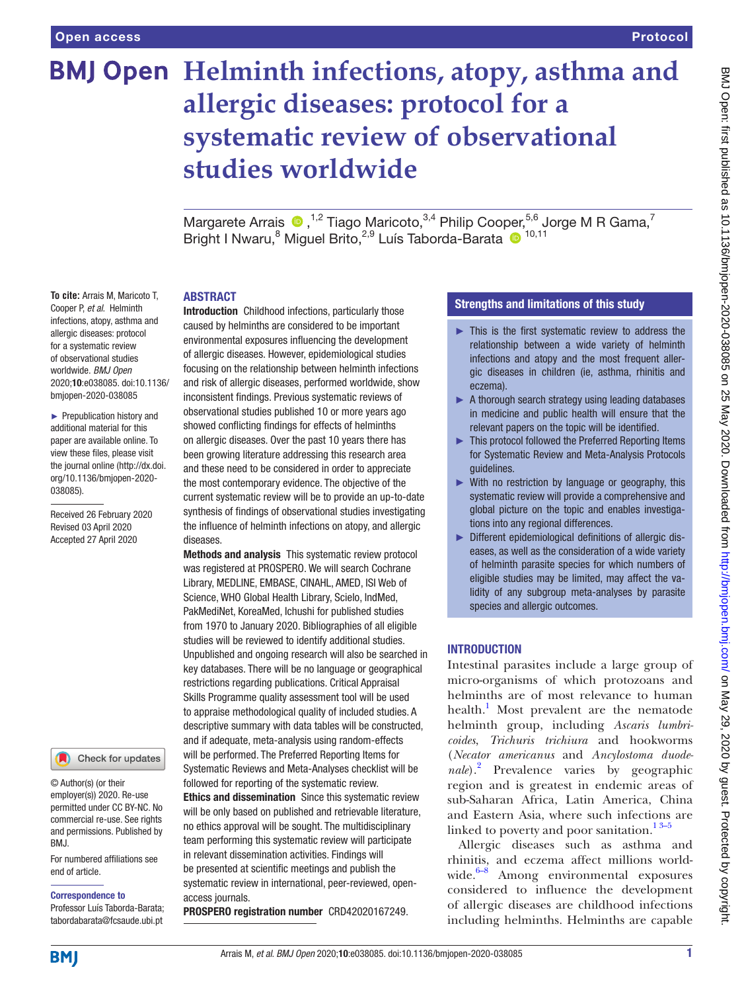# **BMJ Open Helminth infections, atopy, asthma and allergic diseases: protocol for a systematic review of observational studies worldwide**

MargareteArrais  $\bigcirc$ , <sup>1,2</sup> Tiago Maricoto, <sup>3,4</sup> Philip Cooper, <sup>5,6</sup> Jorge M R Gama,<sup>7</sup> Bright I Nwaru,<sup>8</sup> Miguel Brito,<sup>2,9</sup> Luís Taborda-Barata <sup>10,11</sup>

## **ABSTRACT**

**To cite:** Arrais M, Maricoto T, Cooper P, *et al*. Helminth infections, atopy, asthma and allergic diseases: protocol for a systematic review of observational studies worldwide. *BMJ Open* 2020;10:e038085. doi:10.1136/ bmjopen-2020-038085

► Prepublication history and additional material for this paper are available online. To view these files, please visit the journal online (http://dx.doi. org/10.1136/bmjopen-2020- 038085).

Received 26 February 2020 Revised 03 April 2020 Accepted 27 April 2020



© Author(s) (or their employer(s)) 2020. Re-use permitted under CC BY-NC. No commercial re-use. See rights and permissions. Published by BMJ.

For numbered affiliations see end of article.

#### Correspondence to

Professor Luís Taborda-Barata; tabordabarata@fcsaude.ubi.pt

Introduction Childhood infections, particularly those caused by helminths are considered to be important environmental exposures influencing the development of allergic diseases. However, epidemiological studies focusing on the relationship between helminth infections and risk of allergic diseases, performed worldwide, show inconsistent findings. Previous systematic reviews of observational studies published 10 or more years ago showed conflicting findings for effects of helminths on allergic diseases. Over the past 10 years there has been growing literature addressing this research area and these need to be considered in order to appreciate the most contemporary evidence. The objective of the current systematic review will be to provide an up-to-date synthesis of findings of observational studies investigating the influence of helminth infections on atopy, and allergic diseases.

Methods and analysis This systematic review protocol was registered at PROSPERO. We will search Cochrane Library, MEDLINE, EMBASE, CINAHL, AMED, ISI Web of Science, WHO Global Health Library, Scielo, IndMed, PakMediNet, KoreaMed, Ichushi for published studies from 1970 to January 2020. Bibliographies of all eligible studies will be reviewed to identify additional studies. Unpublished and ongoing research will also be searched in key databases. There will be no language or geographical restrictions regarding publications. Critical Appraisal Skills Programme quality assessment tool will be used to appraise methodological quality of included studies. A descriptive summary with data tables will be constructed, and if adequate, meta-analysis using random-effects will be performed. The Preferred Reporting Items for Systematic Reviews and Meta-Analyses checklist will be followed for reporting of the systematic review. Ethics and dissemination Since this systematic review will be only based on published and retrievable literature, no ethics approval will be sought. The multidisciplinary

team performing this systematic review will participate in relevant dissemination activities. Findings will be presented at scientific meetings and publish the systematic review in international, peer-reviewed, openaccess journals.

PROSPERO registration number CRD42020167249.

# Strengths and limitations of this study

- ► This is the first systematic review to address the relationship between a wide variety of helminth infections and atopy and the most frequent allergic diseases in children (ie, asthma, rhinitis and eczema).
- ► A thorough search strategy using leading databases in medicine and public health will ensure that the relevant papers on the topic will be identified.
- ► This protocol followed the Preferred Reporting Items for Systematic Review and Meta-Analysis Protocols guidelines.
- $\triangleright$  With no restriction by language or geography, this systematic review will provide a comprehensive and global picture on the topic and enables investigations into any regional differences.
- ► Different epidemiological definitions of allergic diseases, as well as the consideration of a wide variety of helminth parasite species for which numbers of eligible studies may be limited, may affect the validity of any subgroup meta-analyses by parasite species and allergic outcomes.

## **INTRODUCTION**

Intestinal parasites include a large group of micro-organisms of which protozoans and helminths are of most relevance to human health.<sup>[1](#page-4-0)</sup> Most prevalent are the nematode helminth group, including *Ascaris lumbricoides*, *Trichuris trichiura* and hookworms (*Necator americanus* and *Ancylostoma duodenale*).[2](#page-4-1) Prevalence varies by geographic region and is greatest in endemic areas of sub-Saharan Africa, Latin America, China and Eastern Asia, where such infections are linked to poverty and poor sanitation.<sup>13-5</sup>

Allergic diseases such as asthma and rhinitis, and eczema affect millions worldwide. $6-8$  Among environmental exposures considered to influence the development of allergic diseases are childhood infections including helminths. Helminths are capable

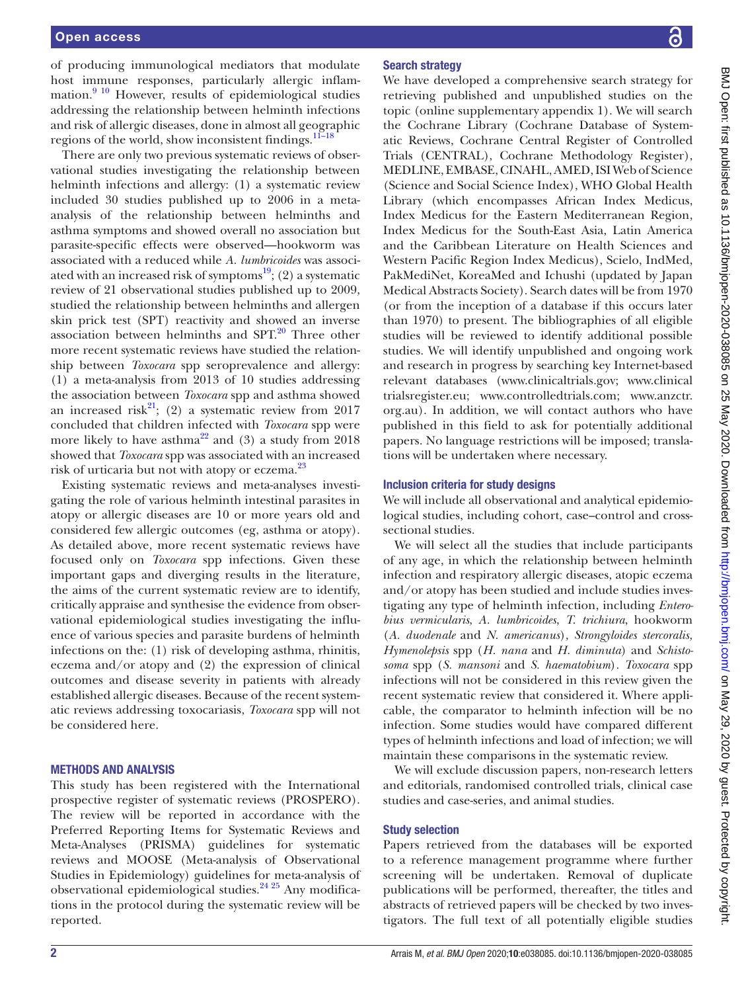of producing immunological mediators that modulate host immune responses, particularly allergic inflammation.<sup>9 10</sup> However, results of epidemiological studies addressing the relationship between helminth infections and risk of allergic diseases, done in almost all geographic regions of the world, show inconsistent findings.[11–18](#page-4-4)

There are only two previous systematic reviews of observational studies investigating the relationship between helminth infections and allergy: (1) a systematic review included 30 studies published up to 2006 in a metaanalysis of the relationship between helminths and asthma symptoms and showed overall no association but parasite-specific effects were observed—hookworm was associated with a reduced while *A. lumbricoides* was associated with an increased risk of symptoms<sup>19</sup>; (2) a systematic review of 21 observational studies published up to 2009, studied the relationship between helminths and allergen skin prick test (SPT) reactivity and showed an inverse association between helminths and  $SPT<sup>20</sup>$ . Three other more recent systematic reviews have studied the relationship between *Toxocara* spp seroprevalence and allergy: (1) a meta-analysis from 2013 of 10 studies addressing the association between *Toxocara* spp and asthma showed an increased risk<sup>21</sup>; (2) a systematic review from 2017 concluded that children infected with *Toxocara* spp were more likely to have asthma<sup>22</sup> and (3) a study from  $2018$ showed that *Toxocara* spp was associated with an increased risk of urticaria but not with atopy or eczema.<sup>23</sup>

Existing systematic reviews and meta-analyses investigating the role of various helminth intestinal parasites in atopy or allergic diseases are 10 or more years old and considered few allergic outcomes (eg, asthma or atopy). As detailed above, more recent systematic reviews have focused only on *Toxocara* spp infections. Given these important gaps and diverging results in the literature, the aims of the current systematic review are to identify, critically appraise and synthesise the evidence from observational epidemiological studies investigating the influence of various species and parasite burdens of helminth infections on the: (1) risk of developing asthma, rhinitis, eczema and/or atopy and (2) the expression of clinical outcomes and disease severity in patients with already established allergic diseases. Because of the recent systematic reviews addressing toxocariasis, *Toxocara* spp will not be considered here.

## Methods and analysis

This study has been registered with the International prospective register of systematic reviews (PROSPERO). The review will be reported in accordance with the Preferred Reporting Items for Systematic Reviews and Meta-Analyses (PRISMA) guidelines for systematic reviews and MOOSE (Meta-analysis of Observational Studies in Epidemiology) guidelines for meta-analysis of observational epidemiological studies.<sup>[24 25](#page-4-10)</sup> Any modifications in the protocol during the systematic review will be reported.

## Search strategy

We have developed a comprehensive search strategy for retrieving published and unpublished studies on the topic ([online supplementary appendix 1](https://dx.doi.org/10.1136/bmjopen-2020-038085)). We will search the Cochrane Library (Cochrane Database of Systematic Reviews, Cochrane Central Register of Controlled Trials (CENTRAL), Cochrane Methodology Register), MEDLINE, EMBASE, CINAHL, AMED, ISI Web of Science (Science and Social Science Index), WHO Global Health Library (which encompasses African Index Medicus, Index Medicus for the Eastern Mediterranean Region, Index Medicus for the South-East Asia, Latin America and the Caribbean Literature on Health Sciences and Western Pacific Region Index Medicus), Scielo, IndMed, PakMediNet, KoreaMed and Ichushi (updated by Japan Medical Abstracts Society). Search dates will be from 1970 (or from the inception of a database if this occurs later than 1970) to present. The bibliographies of all eligible studies will be reviewed to identify additional possible studies. We will identify unpublished and ongoing work and research in progress by searching key Internet-based relevant databases ([www.clinicaltrials.gov;](www.clinicaltrials.gov) [www.clinical](www.clinicaltrialsregister.eu) [trialsregister.eu](www.clinicaltrialsregister.eu); [www.controlledtrials.com;](www.controlledtrials.com) [www.anzctr.](http://www.anzctr.org.au/) [org.au\)](http://www.anzctr.org.au/). In addition, we will contact authors who have published in this field to ask for potentially additional papers. No language restrictions will be imposed; translations will be undertaken where necessary.

## Inclusion criteria for study designs

We will include all observational and analytical epidemiological studies, including cohort, case–control and crosssectional studies.

We will select all the studies that include participants of any age, in which the relationship between helminth infection and respiratory allergic diseases, atopic eczema and/or atopy has been studied and include studies investigating any type of helminth infection, including *Enterobius vermicularis*, *A. lumbricoides*, *T. trichiura*, hookworm (*A. duodenale* and *N. americanus*)*, Strongyloides stercoralis, Hymenolepsis* spp (*H. nana* and *H. diminuta*) and *Schistosoma* spp (*S. mansoni* and *S. haematobium*)*. Toxocara* spp infections will not be considered in this review given the recent systematic review that considered it. Where applicable, the comparator to helminth infection will be no infection. Some studies would have compared different types of helminth infections and load of infection; we will maintain these comparisons in the systematic review.

We will exclude discussion papers, non-research letters and editorials, randomised controlled trials, clinical case studies and case-series, and animal studies.

## Study selection

Papers retrieved from the databases will be exported to a reference management programme where further screening will be undertaken. Removal of duplicate publications will be performed, thereafter, the titles and abstracts of retrieved papers will be checked by two investigators. The full text of all potentially eligible studies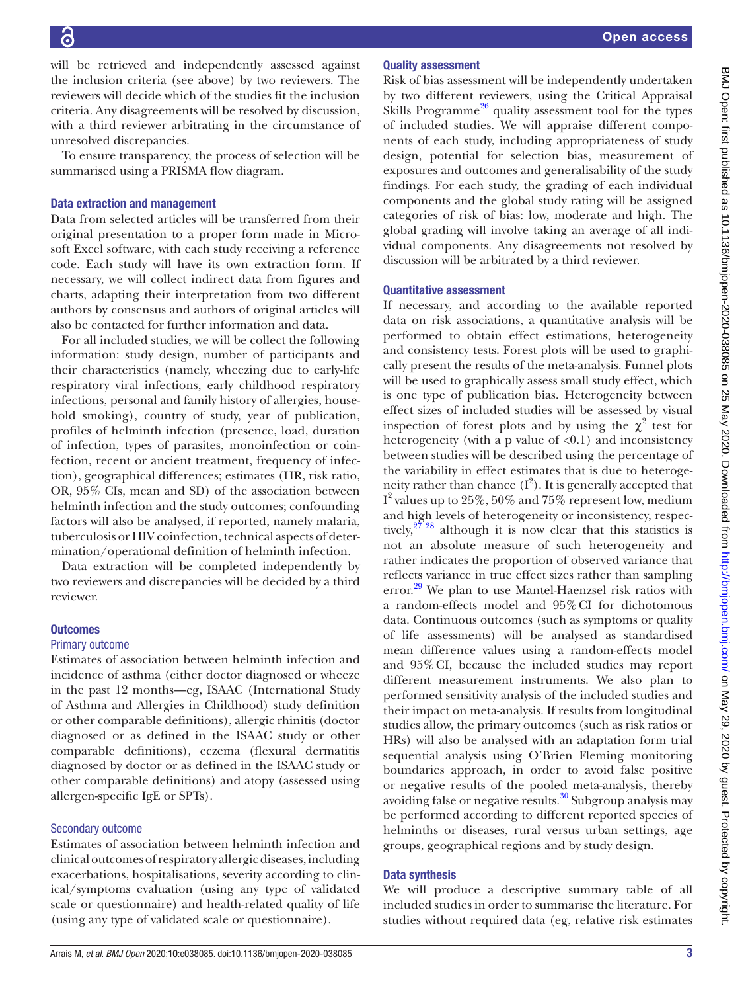will be retrieved and independently assessed against the inclusion criteria (see above) by two reviewers. The reviewers will decide which of the studies fit the inclusion criteria. Any disagreements will be resolved by discussion, with a third reviewer arbitrating in the circumstance of unresolved discrepancies.

To ensure transparency, the process of selection will be summarised using a PRISMA flow diagram.

#### Data extraction and management

Data from selected articles will be transferred from their original presentation to a proper form made in Microsoft Excel software, with each study receiving a reference code. Each study will have its own extraction form. If necessary, we will collect indirect data from figures and charts, adapting their interpretation from two different authors by consensus and authors of original articles will also be contacted for further information and data.

For all included studies, we will be collect the following information: study design, number of participants and their characteristics (namely, wheezing due to early-life respiratory viral infections, early childhood respiratory infections, personal and family history of allergies, household smoking), country of study, year of publication, profiles of helminth infection (presence, load, duration of infection, types of parasites, monoinfection or coinfection, recent or ancient treatment, frequency of infection), geographical differences; estimates (HR, risk ratio, OR, 95% CIs, mean and SD) of the association between helminth infection and the study outcomes; confounding factors will also be analysed, if reported, namely malaria, tuberculosis or HIV coinfection, technical aspects of determination/operational definition of helminth infection.

Data extraction will be completed independently by two reviewers and discrepancies will be decided by a third reviewer.

#### **Outcomes**

#### Primary outcome

Estimates of association between helminth infection and incidence of asthma (either doctor diagnosed or wheeze in the past 12 months—eg, ISAAC (International Study of Asthma and Allergies in Childhood) study definition or other comparable definitions), allergic rhinitis (doctor diagnosed or as defined in the ISAAC study or other comparable definitions), eczema (flexural dermatitis diagnosed by doctor or as defined in the ISAAC study or other comparable definitions) and atopy (assessed using allergen-specific IgE or SPTs).

#### Secondary outcome

Estimates of association between helminth infection and clinical outcomes of respiratory allergic diseases, including exacerbations, hospitalisations, severity according to clinical/symptoms evaluation (using any type of validated scale or questionnaire) and health-related quality of life (using any type of validated scale or questionnaire).

#### Quality assessment

Risk of bias assessment will be independently undertaken by two different reviewers, using the Critical Appraisal Skills Programme<sup>26</sup> quality assessment tool for the types of included studies. We will appraise different components of each study, including appropriateness of study design, potential for selection bias, measurement of exposures and outcomes and generalisability of the study findings. For each study, the grading of each individual components and the global study rating will be assigned categories of risk of bias: low, moderate and high. The global grading will involve taking an average of all individual components. Any disagreements not resolved by discussion will be arbitrated by a third reviewer.

#### Quantitative assessment

If necessary, and according to the available reported data on risk associations, a quantitative analysis will be performed to obtain effect estimations, heterogeneity and consistency tests. Forest plots will be used to graphically present the results of the meta-analysis. Funnel plots will be used to graphically assess small study effect, which is one type of publication bias. Heterogeneity between effect sizes of included studies will be assessed by visual inspection of forest plots and by using the  $\chi^2$  test for heterogeneity (with a p value of  $< 0.1$ ) and inconsistency between studies will be described using the percentage of the variability in effect estimates that is due to heterogeneity rather than chance  $(I^2)$ . It is generally accepted that I 2 values up to 25%, 50% and 75% represent low, medium and high levels of heterogeneity or inconsistency, respectively,  $27 \frac{28}{3}$  although it is now clear that this statistics is not an absolute measure of such heterogeneity and rather indicates the proportion of observed variance that reflects variance in true effect sizes rather than sampling error.<sup>[29](#page-4-13)</sup> We plan to use Mantel-Haenzsel risk ratios with a random-effects model and 95%CI for dichotomous data. Continuous outcomes (such as symptoms or quality of life assessments) will be analysed as standardised mean difference values using a random-effects model and 95%CI, because the included studies may report different measurement instruments. We also plan to performed sensitivity analysis of the included studies and their impact on meta-analysis. If results from longitudinal studies allow, the primary outcomes (such as risk ratios or HRs) will also be analysed with an adaptation form trial sequential analysis using O'Brien Fleming monitoring boundaries approach, in order to avoid false positive or negative results of the pooled meta-analysis, thereby avoiding false or negative results.<sup>[30](#page-4-14)</sup> Subgroup analysis may be performed according to different reported species of helminths or diseases, rural versus urban settings, age groups, geographical regions and by study design.

#### Data synthesis

We will produce a descriptive summary table of all included studies in order to summarise the literature. For studies without required data (eg, relative risk estimates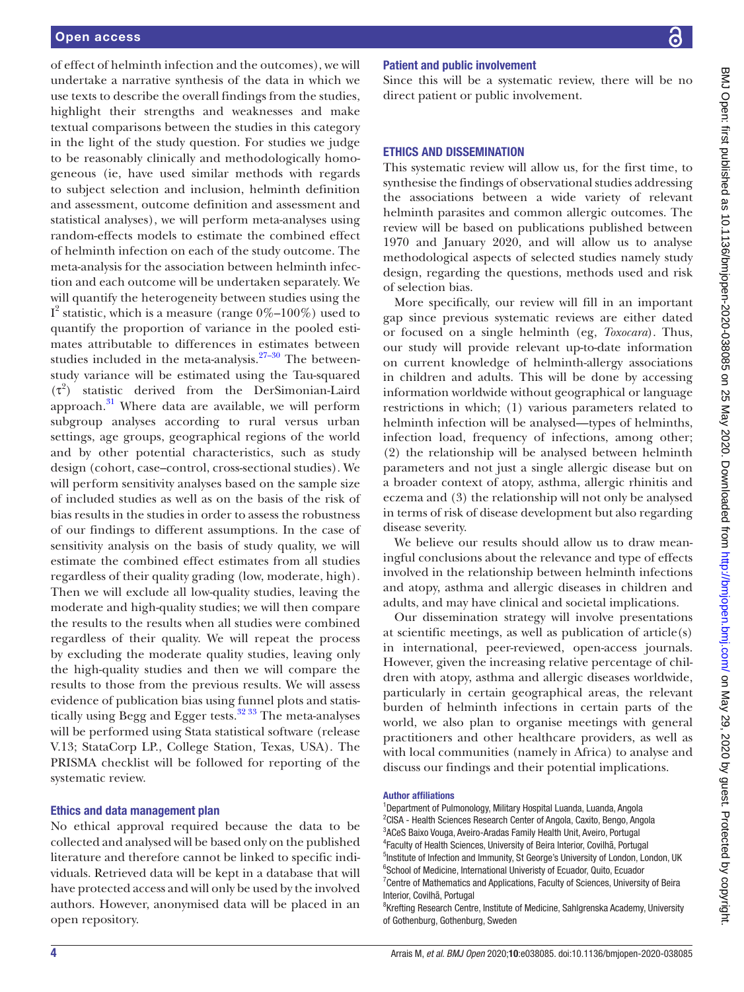of effect of helminth infection and the outcomes), we will undertake a narrative synthesis of the data in which we use texts to describe the overall findings from the studies, highlight their strengths and weaknesses and make textual comparisons between the studies in this category in the light of the study question. For studies we judge to be reasonably clinically and methodologically homogeneous (ie, have used similar methods with regards to subject selection and inclusion, helminth definition and assessment, outcome definition and assessment and statistical analyses), we will perform meta-analyses using random-effects models to estimate the combined effect of helminth infection on each of the study outcome. The meta-analysis for the association between helminth infection and each outcome will be undertaken separately. We will quantify the heterogeneity between studies using the  $I^2$  statistic, which is a measure (range  $0\%-100\%$ ) used to quantify the proportion of variance in the pooled estimates attributable to differences in estimates between studies included in the meta-analysis. $27-30$  The betweenstudy variance will be estimated using the Tau-squared (τ 2 ) statistic derived from the DerSimonian-Laird approach. $31$  Where data are available, we will perform subgroup analyses according to rural versus urban settings, age groups, geographical regions of the world and by other potential characteristics, such as study design (cohort, case–control, cross-sectional studies). We will perform sensitivity analyses based on the sample size of included studies as well as on the basis of the risk of bias results in the studies in order to assess the robustness of our findings to different assumptions. In the case of sensitivity analysis on the basis of study quality, we will estimate the combined effect estimates from all studies regardless of their quality grading (low, moderate, high). Then we will exclude all low-quality studies, leaving the moderate and high-quality studies; we will then compare the results to the results when all studies were combined regardless of their quality. We will repeat the process by excluding the moderate quality studies, leaving only the high-quality studies and then we will compare the results to those from the previous results. We will assess evidence of publication bias using funnel plots and statistically using Begg and Egger tests. $3233$  The meta-analyses will be performed using Stata statistical software (release V.13; StataCorp LP., College Station, Texas, USA). The PRISMA checklist will be followed for reporting of the systematic review.

## Ethics and data management plan

No ethical approval required because the data to be collected and analysed will be based only on the published literature and therefore cannot be linked to specific individuals. Retrieved data will be kept in a database that will have protected access and will only be used by the involved authors. However, anonymised data will be placed in an open repository.

#### Patient and public involvement

Since this will be a systematic review, there will be no direct patient or public involvement.

#### Ethics and dissemination

This systematic review will allow us, for the first time, to synthesise the findings of observational studies addressing the associations between a wide variety of relevant helminth parasites and common allergic outcomes. The review will be based on publications published between 1970 and January 2020, and will allow us to analyse methodological aspects of selected studies namely study design, regarding the questions, methods used and risk of selection bias.

More specifically, our review will fill in an important gap since previous systematic reviews are either dated or focused on a single helminth (eg, *Toxocara*). Thus, our study will provide relevant up-to-date information on current knowledge of helminth-allergy associations in children and adults. This will be done by accessing information worldwide without geographical or language restrictions in which; (1) various parameters related to helminth infection will be analysed—types of helminths, infection load, frequency of infections, among other; (2) the relationship will be analysed between helminth parameters and not just a single allergic disease but on a broader context of atopy, asthma, allergic rhinitis and eczema and (3) the relationship will not only be analysed in terms of risk of disease development but also regarding disease severity.

We believe our results should allow us to draw meaningful conclusions about the relevance and type of effects involved in the relationship between helminth infections and atopy, asthma and allergic diseases in children and adults, and may have clinical and societal implications.

Our dissemination strategy will involve presentations at scientific meetings, as well as publication of article(s) in international, peer-reviewed, open-access journals. However, given the increasing relative percentage of children with atopy, asthma and allergic diseases worldwide, particularly in certain geographical areas, the relevant burden of helminth infections in certain parts of the world, we also plan to organise meetings with general practitioners and other healthcare providers, as well as with local communities (namely in Africa) to analyse and discuss our findings and their potential implications.

#### Author affiliations

<sup>1</sup>Department of Pulmonology, Military Hospital Luanda, Luanda, Angola <sup>2</sup>CISA - Health Sciences Research Center of Angola, Caxito, Bengo, Angola 3 ACeS Baixo Vouga, Aveiro-Aradas Family Health Unit, Aveiro, Portugal 4 Faculty of Health Sciences, University of Beira Interior, Covilhã, Portugal <sup>5</sup>Institute of Infection and Immunity, St George's University of London, London, UK 6 School of Medicine, International Univeristy of Ecuador, Quito, Ecuador <sup>7</sup> Centre of Mathematics and Applications, Faculty of Sciences, University of Beira Interior, Covilhã, Portugal

<sup>8</sup>Krefting Research Centre, Institute of Medicine, Sahlgrenska Academy, University of Gothenburg, Gothenburg, Sweden